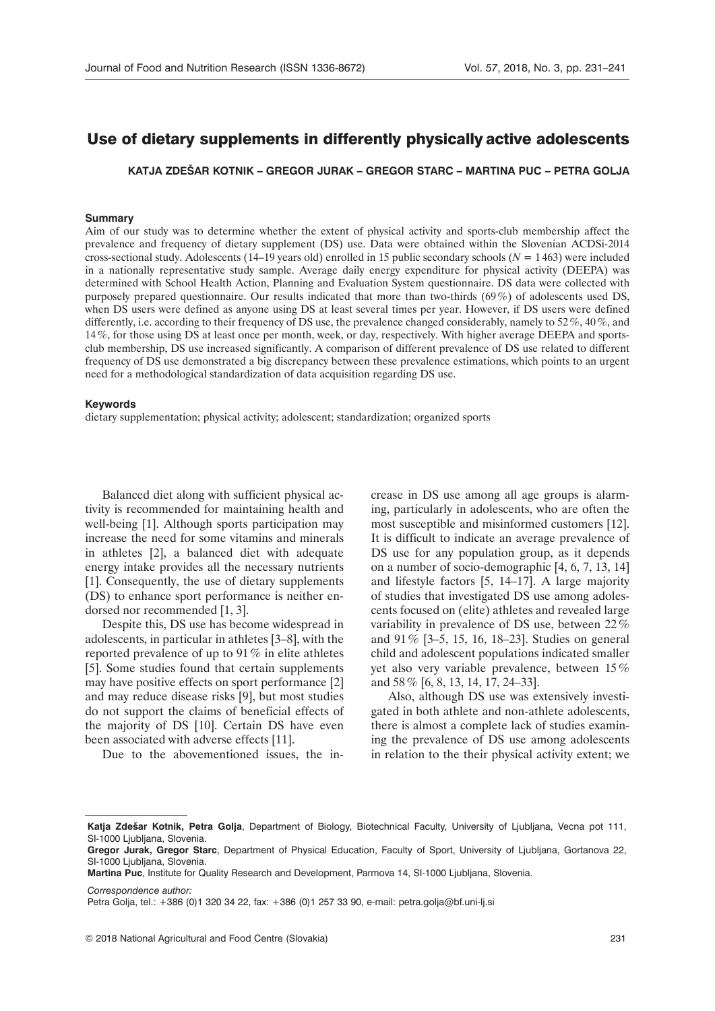# Use of dietary supplements in differently physically active adolescents

**Katja Zdešar Kotnik – Gregor Jurak – Gregor Starc – Martina Puc – Petra Golja**

#### **Summary**

Aim of our study was to determine whether the extent of physical activity and sports-club membership affect the prevalence and frequency of dietary supplement (DS) use. Data were obtained within the Slovenian ACDSi-2014 cross-sectional study. Adolescents (14–19 years old) enrolled in 15 public secondary schools (*N* = 1 463) were included in a nationally representative study sample. Average daily energy expenditure for physical activity (DEEPA) was determined with School Health Action, Planning and Evaluation System questionnaire. DS data were collected with purposely prepared questionnaire. Our results indicated that more than two-thirds (69%) of adolescents used DS, when DS users were defined as anyone using DS at least several times per year. However, if DS users were defined differently, i.e. according to their frequency of DS use, the prevalence changed considerably, namely to 52%, 40%, and 14%, for those using DS at least once per month, week, or day, respectively. With higher average DEEPA and sportsclub membership, DS use increased significantly. A comparison of different prevalence of DS use related to different frequency of DS use demonstrated a big discrepancy between these prevalence estimations, which points to an urgent need for a methodological standardization of data acquisition regarding DS use.

#### **Keywords**

dietary supplementation; physical activity; adolescent; standardization; organized sports

Balanced diet along with sufficient physical activity is recommended for maintaining health and well-being [1]. Although sports participation may increase the need for some vitamins and minerals in athletes [2], a balanced diet with adequate energy intake provides all the necessary nutrients [1]. Consequently, the use of dietary supplements (DS) to enhance sport performance is neither endorsed nor recommended [1, 3].

Despite this, DS use has become widespread in adolescents, in particular in athletes [3–8], with the reported prevalence of up to 91% in elite athletes [5]. Some studies found that certain supplements may have positive effects on sport performance [2] and may reduce disease risks [9], but most studies do not support the claims of beneficial effects of the majority of DS [10]. Certain DS have even been associated with adverse effects [11].

Due to the abovementioned issues, the in-

crease in DS use among all age groups is alarming, particularly in adolescents, who are often the most susceptible and misinformed customers [12]. It is difficult to indicate an average prevalence of DS use for any population group, as it depends on a number of socio-demographic [4, 6, 7, 13, 14] and lifestyle factors [5, 14–17]. A large majority of studies that investigated DS use among adolescents focused on (elite) athletes and revealed large variability in prevalence of DS use, between 22% and 91% [3–5, 15, 16, 18–23]. Studies on general child and adolescent populations indicated smaller yet also very variable prevalence, between 15% and 58% [6, 8, 13, 14, 17, 24–33].

Also, although DS use was extensively investigated in both athlete and non-athlete adolescents, there is almost a complete lack of studies examining the prevalence of DS use among adolescents in relation to the their physical activity extent; we

*Correspondence author:* 

**Katja Zdešar Kotnik, Petra Golja**, Department of Biology, Biotechnical Faculty, University of Ljubljana, Vecna pot 111, SI-1000 Ljubljana, Slovenia.

**Gregor Jurak, Gregor Starc**, Department of Physical Education, Faculty of Sport, University of Ljubljana, Gortanova 22, SI-1000 Ljubljana, Slovenia.

**Martina Puc**, Institute for Quality Research and Development, Parmova 14, SI-1000 Ljubljana, Slovenia.

Petra Golja, tel.: +386 (0)1 320 34 22, fax: +386 (0)1 257 33 90, e-mail: [petra.golja@bf.uni-lj.si](petra.golja@bf.uni-lj.si )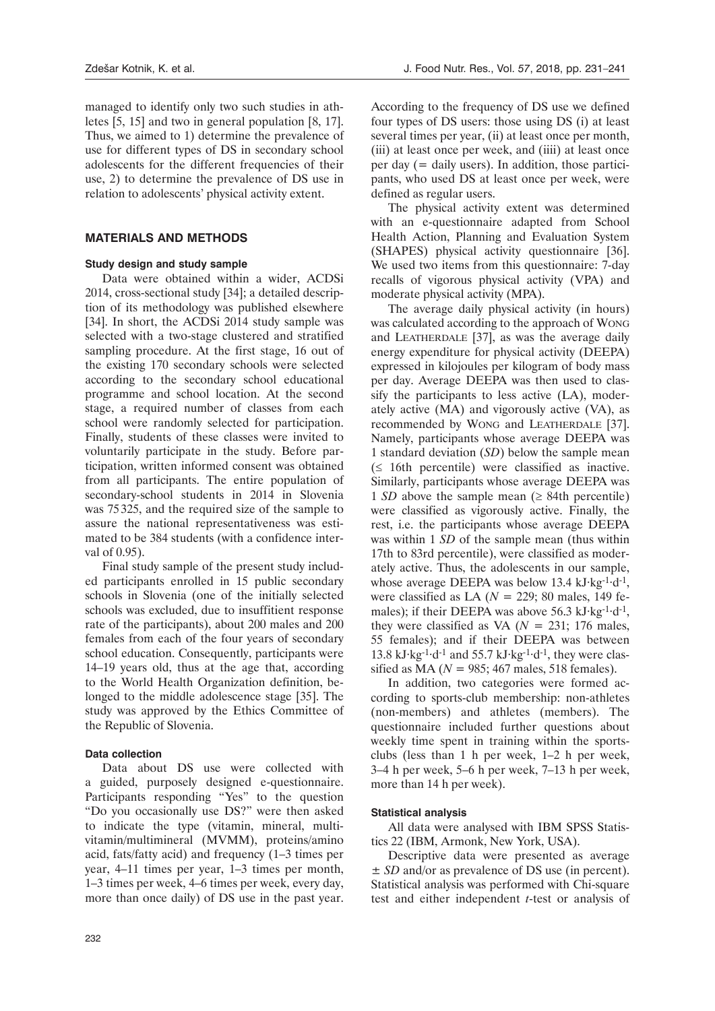managed to identify only two such studies in athletes [5, 15] and two in general population [8, 17]. Thus, we aimed to 1) determine the prevalence of use for different types of DS in secondary school adolescents for the different frequencies of their use, 2) to determine the prevalence of DS use in relation to adolescents' physical activity extent.

# **Materials and methods**

## **Study design and study sample**

Data were obtained within a wider, ACDSi 2014, cross-sectional study [34]; a detailed description of its methodology was published elsewhere [34]. In short, the ACDSi 2014 study sample was selected with a two-stage clustered and stratified sampling procedure. At the first stage, 16 out of the existing 170 secondary schools were selected according to the secondary school educational programme and school location. At the second stage, a required number of classes from each school were randomly selected for participation. Finally, students of these classes were invited to voluntarily participate in the study. Before participation, written informed consent was obtained from all participants. The entire population of secondary-school students in 2014 in Slovenia was 75 325, and the required size of the sample to assure the national representativeness was estimated to be 384 students (with a confidence interval of 0.95).

Final study sample of the present study included participants enrolled in 15 public secondary schools in Slovenia (one of the initially selected schools was excluded, due to insuffitient response rate of the participants), about 200 males and 200 females from each of the four years of secondary school education. Consequently, participants were 14–19 years old, thus at the age that, according to the World Health Organization definition, belonged to the middle adolescence stage [35]. The study was approved by the Ethics Committee of the Republic of Slovenia.

## **Data collection**

Data about DS use were collected with a guided, purposely designed e-questionnaire. Participants responding "Yes" to the question "Do you occasionally use DS?" were then asked to indicate the type (vitamin, mineral, multivitamin/multimineral (MVMM), proteins/amino acid, fats/fatty acid) and frequency (1–3 times per year, 4–11 times per year, 1–3 times per month, 1–3 times per week, 4–6 times per week, every day, more than once daily) of DS use in the past year.

According to the frequency of DS use we defined four types of DS users: those using DS (i) at least several times per year, (ii) at least once per month, (iii) at least once per week, and (iiii) at least once per day (= daily users). In addition, those participants, who used DS at least once per week, were defined as regular users.

The physical activity extent was determined with an e-questionnaire adapted from School Health Action, Planning and Evaluation System (SHAPES) physical activity questionnaire [36]. We used two items from this questionnaire: 7-day recalls of vigorous physical activity (VPA) and moderate physical activity (MPA).

The average daily physical activity (in hours) was calculated according to the approach of Wong and LEATHERDALE [37], as was the average daily energy expenditure for physical activity (DEEPA) expressed in kilojoules per kilogram of body mass per day. Average DEEPA was then used to classify the participants to less active (LA), moderately active (MA) and vigorously active (VA), as recommended by Wong and LEATHERDALE [37]. Namely, participants whose average DEEPA was 1 standard deviation (*SD*) below the sample mean  $($  ≤ 16th percentile) were classified as inactive. Similarly, participants whose average DEEPA was 1 *SD* above the sample mean  $(≥ 84th$  percentile) were classified as vigorously active. Finally, the rest, i.e. the participants whose average DEEPA was within 1 *SD* of the sample mean (thus within 17th to 83rd percentile), were classified as moderately active. Thus, the adolescents in our sample, whose average DEEPA was below 13.4 kJ·kg<sup>-1</sup>·d<sup>-1</sup>, were classified as LA (*N* = 229; 80 males, 149 females); if their DEEPA was above 56.3 kJ·kg<sup>-1</sup>·d<sup>-1</sup>, they were classified as VA  $(N = 231; 176$  males, 55 females); and if their DEEPA was between 13.8 kJ·kg-1·d-1 and 55.7 kJ·kg-1·d-1, they were classified as MA ( $N = 985$ ; 467 males, 518 females).

In addition, two categories were formed according to sports-club membership: non-athletes (non-members) and athletes (members). The questionnaire included further questions about weekly time spent in training within the sportsclubs (less than 1 h per week, 1–2 h per week, 3–4 h per week, 5–6 h per week, 7–13 h per week, more than 14 h per week).

## **Statistical analysis**

All data were analysed with IBM SPSS Statistics 22 (IBM, Armonk, New York, USA).

Descriptive data were presented as average ± *SD* and/or as prevalence of DS use (in percent). Statistical analysis was performed with Chi-square test and either independent *t*-test or analysis of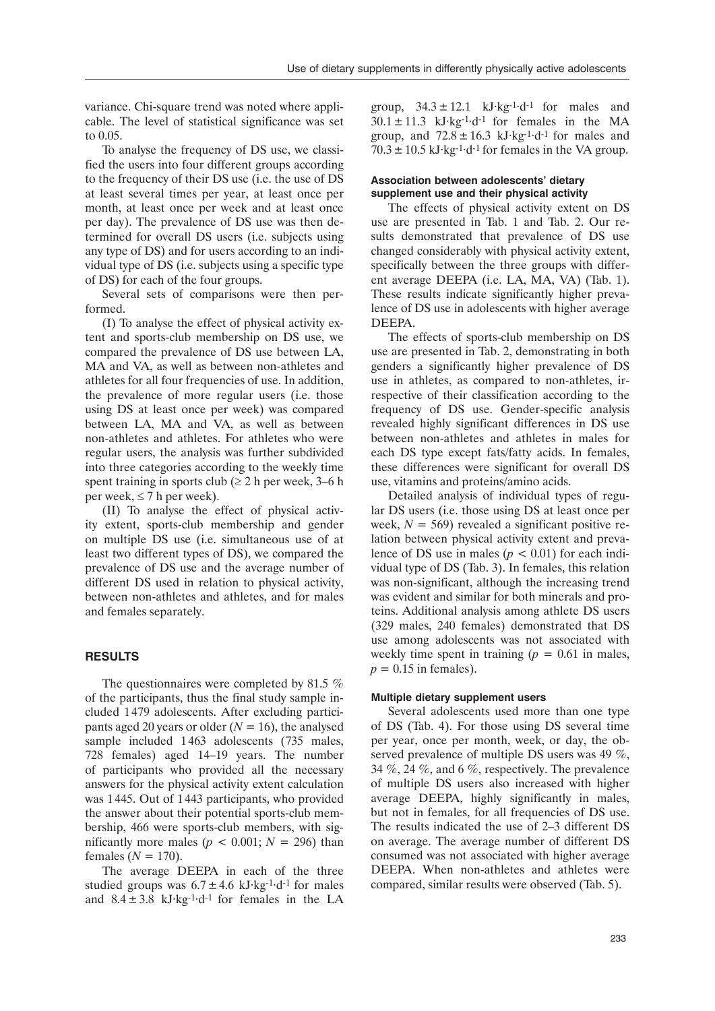variance. Chi-square trend was noted where applicable. The level of statistical significance was set to 0.05.

To analyse the frequency of DS use, we classified the users into four different groups according to the frequency of their DS use (i.e. the use of DS at least several times per year, at least once per month, at least once per week and at least once per day). The prevalence of DS use was then determined for overall DS users (i.e. subjects using any type of DS) and for users according to an individual type of DS (i.e. subjects using a specific type of DS) for each of the four groups.

Several sets of comparisons were then performed.

(I) To analyse the effect of physical activity extent and sports-club membership on DS use, we compared the prevalence of DS use between LA, MA and VA, as well as between non-athletes and athletes for all four frequencies of use. In addition, the prevalence of more regular users (i.e. those using DS at least once per week) was compared between LA, MA and VA, as well as between non-athletes and athletes. For athletes who were regular users, the analysis was further subdivided into three categories according to the weekly time spent training in sports club ( $\geq 2$  h per week, 3–6 h per week,  $\leq 7$  h per week).

(II) To analyse the effect of physical activity extent, sports-club membership and gender on multiple DS use (i.e. simultaneous use of at least two different types of DS), we compared the prevalence of DS use and the average number of different DS used in relation to physical activity, between non-athletes and athletes, and for males and females separately.

## **Results**

The questionnaires were completed by 81.5 % of the participants, thus the final study sample included 1 479 adolescents. After excluding participants aged 20 years or older  $(N = 16)$ , the analysed sample included 1463 adolescents (735 males, 728 females) aged 14–19 years. The number of participants who provided all the necessary answers for the physical activity extent calculation was 1 445. Out of 1443 participants, who provided the answer about their potential sports-club membership, 466 were sports-club members, with significantly more males ( $p < 0.001$ ;  $N = 296$ ) than females  $(N = 170)$ .

The average DEEPA in each of the three studied groups was  $6.7 \pm 4.6$  kJ·kg<sup>-1</sup>·d<sup>-1</sup> for males and  $8.4 \pm 3.8$  kJ·kg<sup>-1</sup>·d<sup>-1</sup> for females in the LA group,  $34.3 \pm 12.1$  kJ·kg<sup>-1·</sup>d<sup>-1</sup> for males and  $30.1 \pm 11.3$  kJ·kg<sup>-1·</sup>d<sup>-1</sup> for females in the MA group, and  $72.8 \pm 16.3$  kJ·kg<sup>-1</sup>·d<sup>-1</sup> for males and  $70.3 \pm 10.5$  kJ·kg<sup>-1·</sup>d<sup>-1</sup> for females in the VA group.

#### **Association between adolescents' dietary supplement use and their physical activity**

The effects of physical activity extent on DS use are presented in Tab. 1 and Tab. 2. Our results demonstrated that prevalence of DS use changed considerably with physical activity extent, specifically between the three groups with different average DEEPA (i.e. LA, MA, VA) (Tab. 1). These results indicate significantly higher prevalence of DS use in adolescents with higher average DEEPA.

The effects of sports-club membership on DS use are presented in Tab. 2, demonstrating in both genders a significantly higher prevalence of DS use in athletes, as compared to non-athletes, irrespective of their classification according to the frequency of DS use. Gender-specific analysis revealed highly significant differences in DS use between non-athletes and athletes in males for each DS type except fats/fatty acids. In females, these differences were significant for overall DS use, vitamins and proteins/amino acids.

Detailed analysis of individual types of regular DS users (i.e. those using DS at least once per week,  $N = 569$ ) revealed a significant positive relation between physical activity extent and prevalence of DS use in males  $(p < 0.01)$  for each individual type of DS (Tab. 3). In females, this relation was non-significant, although the increasing trend was evident and similar for both minerals and proteins. Additional analysis among athlete DS users (329 males, 240 females) demonstrated that DS use among adolescents was not associated with weekly time spent in training  $(p = 0.61$  in males,  $p = 0.15$  in females).

#### **Multiple dietary supplement users**

Several adolescents used more than one type of DS (Tab. 4). For those using DS several time per year, once per month, week, or day, the observed prevalence of multiple DS users was 49 %, 34 %, 24 %, and 6 %, respectively. The prevalence of multiple DS users also increased with higher average DEEPA, highly significantly in males, but not in females, for all frequencies of DS use. The results indicated the use of 2–3 different DS on average. The average number of different DS consumed was not associated with higher average DEEPA. When non-athletes and athletes were compared, similar results were observed (Tab. 5).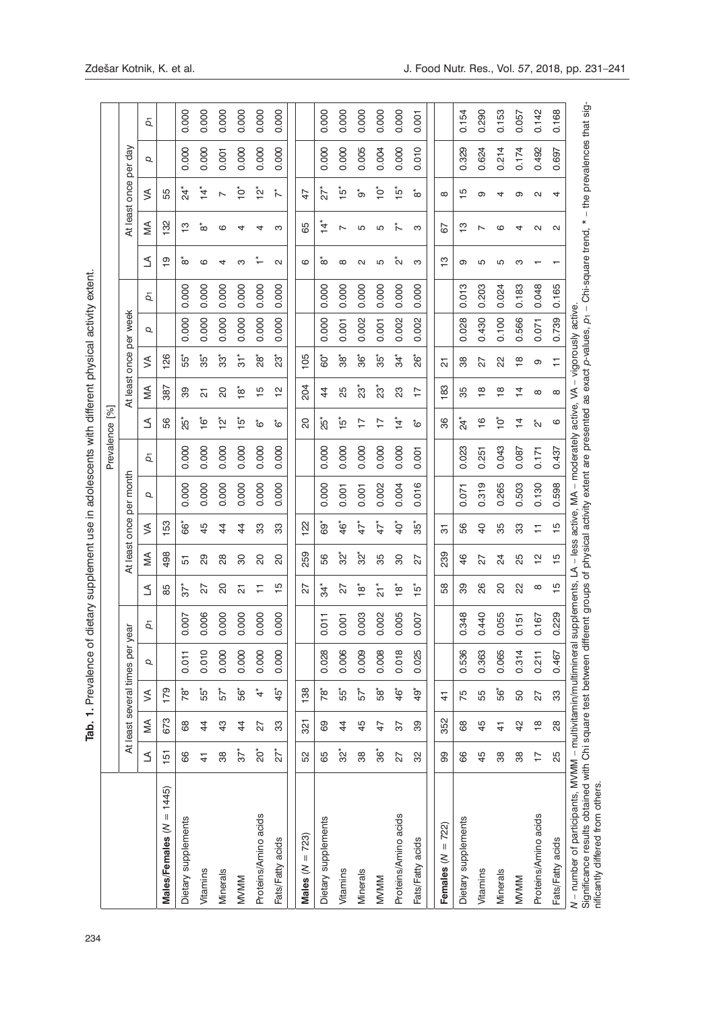| j             |  |
|---------------|--|
| $\frac{1}{2}$ |  |
| )<br>S        |  |
|               |  |
|               |  |
|               |  |
|               |  |
| l             |  |
|               |  |
| j             |  |
| さいこう          |  |
| $\frac{1}{2}$ |  |
|               |  |
|               |  |
|               |  |
| えいこく          |  |
|               |  |
| j             |  |
|               |  |
|               |  |
|               |  |
|               |  |
| )<br>)<br>-   |  |
|               |  |
| )<br>)        |  |
| こうきょう         |  |
|               |  |
|               |  |
|               |  |
|               |  |
|               |  |
| Tab. 1. Prev  |  |
|               |  |
|               |  |
|               |  |
|               |  |
|               |  |
|               |  |
|               |  |
|               |  |
|               |  |
|               |  |
|               |  |
|               |  |
|               |  |
|               |  |
|               |  |
|               |  |

|                                                                                                                                                                                                                                                                       |                  |                         |              | Tab. 1. Prevalence of        |       |                             |                 |                | dietary supplement use in adolescents with different physical activity extent. |       |                      |                           |                          |          |       |                   |                          |                   |         |              |
|-----------------------------------------------------------------------------------------------------------------------------------------------------------------------------------------------------------------------------------------------------------------------|------------------|-------------------------|--------------|------------------------------|-------|-----------------------------|-----------------|----------------|--------------------------------------------------------------------------------|-------|----------------------|---------------------------|--------------------------|----------|-------|-------------------|--------------------------|-------------------|---------|--------------|
|                                                                                                                                                                                                                                                                       |                  |                         |              |                              |       |                             |                 |                |                                                                                |       | Prevalence [%]       |                           |                          |          |       |                   |                          |                   |         |              |
|                                                                                                                                                                                                                                                                       |                  |                         |              | At least several times per y | ear   |                             | At least once   |                | month<br>per                                                                   |       |                      | At least once             |                          | per week |       |                   |                          | At least once     | per day |              |
|                                                                                                                                                                                                                                                                       | ₹                | ≶                       | ≶            | p                            | ă     | ₹                           | ≶               | ≶              | Q                                                                              | ā     | ₹                    | ⋚                         | ≶                        | Q        | ā     | ₹                 | ⋚                        | ≶                 | Q       | $\bar{\rho}$ |
| $= 1445$<br>Males/Females (N                                                                                                                                                                                                                                          | 151              | 673                     | 179          |                              |       | 85                          | 498             | 153            |                                                                                |       | 56                   | 387                       | 126                      |          |       | $\overline{9}$    | 132                      | 55                |         |              |
| Dietary supplements                                                                                                                                                                                                                                                   | 89               | 89                      | 78*          | 0.011                        | 0.007 | $\vec{c}$                   | 57              | ة*<br>00       | 0.000                                                                          | 0.000 | $25^*$               | ඝ                         | ά,                       | 0.000    | 0.000 | ő٥                | ဗ္                       | **                | 0.000   | 0.000        |
| Vitamins                                                                                                                                                                                                                                                              | $\frac{4}{1}$    | $\frac{4}{3}$           | ဦ၁           | 0.010                        | 0.006 | 27                          | 29              | 45             | 0.000                                                                          | 0.000 | $\overset{*}{\circ}$ | 5                         | $35^*$                   | 0.000    | 0.000 | ဖ                 | ္လ                       | $14^*$            | 0.000   | 0.000        |
| Minerals                                                                                                                                                                                                                                                              | 38               | $\frac{3}{4}$           | 57           | 0.000                        | 0.000 | 20                          | $\overline{28}$ | $\frac{4}{3}$  | 0.000                                                                          | 0.000 | $\sum_{i=1}^{k}$     | 8                         | ္ပ်ိဳး                   | 0.000    | 0.000 | 4                 | ဖ                        | L                 | 0.001   | 0.000        |
| <b>MVMM</b>                                                                                                                                                                                                                                                           | $5^{\circ}$      | $\frac{4}{3}$           | 56ً          | 0.000                        | 0.000 | 51                          | 80              | $\frac{4}{4}$  | 0.000                                                                          | 0.000 | مِّ                  | $\overset{*}{\mathbf{g}}$ | $\frac{1}{3}$            | 0.000    | 0.000 | ო                 | 4                        | ʻp                | 0.000   | 0.000        |
| Proteins/Amino acids                                                                                                                                                                                                                                                  | ່ຽ               | 27                      | $\vec{\tau}$ | 0.000                        | 0.000 | ∓                           | 20              | 33             | 0.000                                                                          | 0.000 | ڽؙ                   | $\frac{5}{1}$             | å<br>28                  | 0.000    | 0.000 |                   |                          | $\sum_{\tau}^*$   | 0.000   | 0.000        |
| Fats/Fatty acids                                                                                                                                                                                                                                                      | ń                | 33                      | $\ddot{5}$   | 0.000                        | 0.000 | Ю                           | SO              | 33             | 0.000                                                                          | 0.000 | ڨ                    | 은                         | ំន                       | 0.000    | 0.000 | $\mathbf{\alpha}$ | ო                        | $\tilde{\tau}$    | 0.000   | 0.000        |
|                                                                                                                                                                                                                                                                       |                  |                         |              |                              |       |                             |                 |                |                                                                                |       |                      |                           |                          |          |       |                   |                          |                   |         |              |
| $= 723$<br>Males (N                                                                                                                                                                                                                                                   | 52               | 321                     | 138          |                              |       | 27                          | 259             | 122            |                                                                                |       | 20                   | 204                       | 105                      |          |       | ဖ                 | 89                       | 47                |         |              |
| Dietary supplements                                                                                                                                                                                                                                                   | 65               | 89                      | Îά           | 0.028                        | 0.011 | $34*$                       | 99              | ê9             | 0.000                                                                          | 0.000 | $25^*$               | 4                         | 60*                      | 0.000    | 0.000 | ံထ                | $\vec{A}$                | ń                 | 0.000   | 0.000        |
| Vitamins                                                                                                                                                                                                                                                              | $\mathfrak{S}^*$ | $\frac{4}{3}$           | 55*          | 0.006                        | 0.001 | 27                          | $\tilde{S}^*$   | $46*$          | 0.001                                                                          | 0.000 | $\frac{5}{10}$       | ΣŚ                        | $\overset{*}{\text{38}}$ | 0.001    | 0.000 | $\infty$          | $\overline{\phantom{0}}$ | $\frac{5}{10}$    | 0.000   | 0.000        |
| Minerals                                                                                                                                                                                                                                                              | 38               | 45                      | 57           | 0.009                        | 0.003 | $\overset{*}{\mathfrak{g}}$ | $32*$           | $47^*$         | 0.001                                                                          | 0.000 | 17                   | វិទ                       | ဖွံ                      | 0.002    | 0.000 | $\mathbf{\alpha}$ | Ю                        | ້ ວ               | 0.005   | 0.000        |
| <b>MVMM</b>                                                                                                                                                                                                                                                           | త్లీ             | $\frac{4}{7}$           | ĝ5           | 0.008                        | 0.002 | $\overline{c}$              | 35              | $\vec{f}$      | 0.002                                                                          | 0.000 | $\overline{1}$       | ំន                        | $35^*$                   | 0.001    | 0.000 | Ю                 | Ю                        | ʻр                | 0.004   | 0.000        |
| Proteins/Amino acids                                                                                                                                                                                                                                                  | 27               | 57                      | $46*$        | 0.018                        | 0.005 | $\overset{*}{\alpha}$       | 8               | $\ddot{Q}^*$   | 0.004                                                                          | 0.000 | $\ddot{ }$           | ಔ                         | $34*$                    | 0.002    | 0.000 | Ń                 |                          | ڄڻ                | 0.000   | 0.000        |
| Fats/Fatty acids                                                                                                                                                                                                                                                      | 32               | 89                      | ġ,           | 0.025                        | 0.007 | ໂດ                          | 27              | $35^*$         | 0.016                                                                          | 0.001 | ڨ                    | 17                        | żg*                      | 0.002    | 0.000 | ო                 | ო                        | ံထ                | 0.010   | 0.001        |
| 722)<br>Females $(N =$                                                                                                                                                                                                                                                | 8                | 352                     | 4            |                              |       | 58                          | 239             | 5              |                                                                                |       | 86                   | 183                       | 짒                        |          |       | ဗ္                | 67                       | $\infty$          |         |              |
|                                                                                                                                                                                                                                                                       |                  |                         |              |                              |       |                             |                 |                |                                                                                |       |                      |                           |                          |          |       |                   |                          |                   |         |              |
| Dietary supplements                                                                                                                                                                                                                                                   | 89               | 89                      | 75           | 0.536                        | 0.348 | 8                           | 46              | 99             | 0.071                                                                          | 0.023 | $24^*$               | 35                        | 88                       | 0.028    | 0.013 | თ                 | ဗ္                       | $\frac{1}{2}$     | 0.329   | 0.154        |
| Vitamins                                                                                                                                                                                                                                                              | 45               | 45                      | 55           | 0.363                        | 0.440 | 88                          | 27              | $\overline{a}$ | 0.319                                                                          | 0.251 | $\frac{6}{1}$        | $\frac{8}{1}$             | 27                       | 0.430    | 0.203 | Ю                 | ∼                        | თ                 | 0.624   | 0.290        |
| Minerals                                                                                                                                                                                                                                                              | 38               | $\frac{4}{1}$           | ဖွဲ          | 0.065                        | 0.055 | SO                          | $\overline{24}$ | 35             | 0.265                                                                          | 0.043 | ʻp                   | $\frac{\infty}{1}$        | 2                        | 0.100    | 0.024 | Ю                 | ဖ                        | 4                 | 0.214   | 0.153        |
| <b>MVMM</b>                                                                                                                                                                                                                                                           | 38               | $\frac{2}{3}$           | 50           | 0.314                        | 0.151 | 22                          | 25              | 33             | 0.503                                                                          | 0.087 | $\frac{4}{4}$        | 4                         | $\frac{8}{1}$            | 0.566    | 0.183 | ო                 | 4                        | თ                 | 0.174   | 0.057        |
| Proteins/Amino acids                                                                                                                                                                                                                                                  | $\overline{1}$   | $\frac{\infty}{\infty}$ | 27           | 0.211                        | 0.167 | $\infty$                    | $\frac{1}{2}$   | Ξ              | 0.130                                                                          | 0.171 | $\stackrel{*}{\sim}$ | $\infty$                  | თ                        | 0.071    | 0.048 |                   | Ν                        | $\mathbf{\alpha}$ | 0.492   | 0.142        |
| Fats/Fatty acids                                                                                                                                                                                                                                                      | 25               | $\overline{28}$         | ွာ           | 0.467                        | 0.229 | Ю                           | $\frac{10}{1}$  | $\frac{1}{2}$  | 0.598                                                                          | 0.437 | ဖ                    | $\infty$                  | Ξ                        | 0.739    | 0.165 |                   | N                        | 4                 | 0.697   | 0.168        |
| N – number of participants, MVMM – multivitamin/multimineral supplements, LA – less active, MA – moderately active, VA – vigorously active.<br>Significance results obtained with Chi square test between different groups of phy<br>nificantly differed from others. |                  |                         |              |                              |       |                             |                 |                |                                                                                |       |                      |                           |                          |          |       |                   |                          |                   |         |              |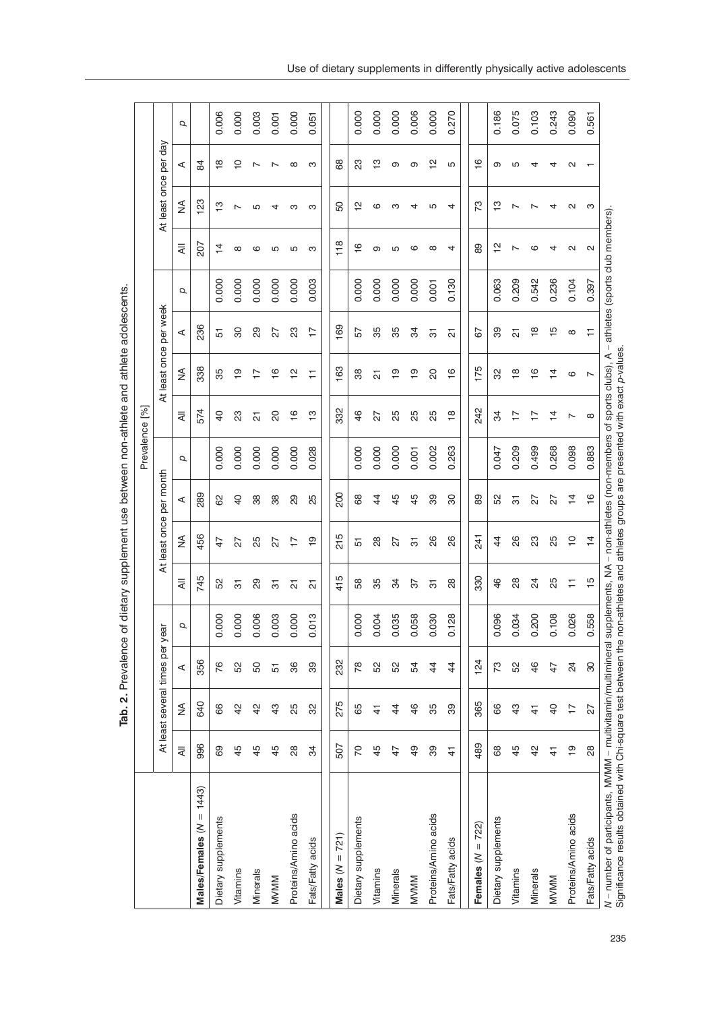|                                                                                                                                                                 |                 |                                 |                 |       |                |                         |                | Prevalence [%]                                                                                                                                          |                     |                         |                         |       |                   |                       |                          |       |
|-----------------------------------------------------------------------------------------------------------------------------------------------------------------|-----------------|---------------------------------|-----------------|-------|----------------|-------------------------|----------------|---------------------------------------------------------------------------------------------------------------------------------------------------------|---------------------|-------------------------|-------------------------|-------|-------------------|-----------------------|--------------------------|-------|
|                                                                                                                                                                 |                 | At least several times per year |                 |       |                | At least once per month |                |                                                                                                                                                         |                     | At least once per week  |                         |       |                   | At least once per day |                          |       |
|                                                                                                                                                                 | ₹               | ≸                               | ⋖               | Q     | ₹              | ₹                       | ⋖              | Q                                                                                                                                                       | ₹                   | ≸                       | ⋖                       | Q     | ₹                 | ≨                     | ⋖                        | Q     |
| Males/Females $(N = 1443)$                                                                                                                                      | 996             | 640                             | 356             |       | 745            | 456                     | 289            |                                                                                                                                                         | 574                 | 338                     | 236                     |       | 207               | 123                   | 84                       |       |
| Dietary supplements                                                                                                                                             | 89              | 66                              | 76              | 0.000 | 5S             | $\frac{4}{7}$           | 8              | 0.000                                                                                                                                                   | $\overline{a}$      | 35                      | 5                       | 0.000 | $\frac{1}{4}$     | ဗု                    | $\frac{8}{1}$            | 0.006 |
| Vitamins                                                                                                                                                        | 45              | $4^{\circ}$                     | 52              | 0.000 | 5              | 27                      | $\overline{a}$ | 0.000                                                                                                                                                   | 23                  | $\overline{9}$          | 80                      | 0.000 | $\infty$          | Ľ                     | $\overline{C}$           | 0.000 |
| Minerals                                                                                                                                                        | 45              | $\frac{2}{3}$                   | SO              | 0.006 | 29             | 25                      | 38             | 0.000                                                                                                                                                   | $\overline{\Omega}$ | $\overline{1}$          | 89                      | 0.000 | ဖ                 | Ю                     | $\overline{\phantom{0}}$ | 0.003 |
| <b>MVMM</b>                                                                                                                                                     | 45              | $\frac{3}{4}$                   | 5               | 0.003 | 5              | 27                      | 38             | 0.000                                                                                                                                                   | 20                  | $\frac{6}{1}$           | 27                      | 0.000 | Ю                 | 4                     | ∼                        | 0.001 |
| Proteins/Amino acids                                                                                                                                            | $\overline{28}$ | 25                              | 86              | 0.000 | 21             | 7-                      | 29             | 0.000                                                                                                                                                   | $\frac{6}{1}$       | $\overline{\mathsf{c}}$ | ಔ                       | 0.000 | Ю                 | ო                     | $\infty$                 | 0.000 |
| Fats/Fatty acids                                                                                                                                                | 34              | 32                              | 89              | 0.013 | 5              | စ္                      | 25             | 0.028                                                                                                                                                   | $\frac{1}{2}$       | Ξ                       | $\overline{1}$          | 0.003 | ო                 | ო                     | ო                        | 0.051 |
| Males $(N = 721)$                                                                                                                                               | 507             | 275                             | 232             |       | 415            | 215                     | 200            |                                                                                                                                                         | 332                 | 163                     | 169                     |       | 118               | SO                    | 8                        |       |
| Dietary supplements                                                                                                                                             | 20              | 65                              | 78              | 0.000 | 58             | 5                       | 68             | 0.000                                                                                                                                                   | $\frac{6}{4}$       | 38                      | 57                      | 0.000 | $\frac{6}{1}$     | 으                     | S3                       | 0.000 |
| Vitamins                                                                                                                                                        | 45              | $\frac{4}{3}$                   | 52              | 0.004 | 35             | 28                      | $\frac{4}{4}$  | 0.000                                                                                                                                                   | 27                  | 21                      | 89                      | 0.000 | თ                 | ဖ                     | ဗ္                       | 0.000 |
| Minerals                                                                                                                                                        | $\ddot{+}$      | $\frac{4}{4}$                   | 52              | 0.035 | 34             | 27                      | 45             | 0.000                                                                                                                                                   | 25                  | $\frac{6}{1}$           | 35                      | 0.000 | Ю                 | ო                     | თ                        | 0.000 |
| <b>MVMM</b>                                                                                                                                                     | $\frac{9}{4}$   | 46                              | 54              | 0.058 | 57             | 5                       | $\frac{4}{5}$  | 0.001                                                                                                                                                   | δS                  | <u>စု</u>               | ೫                       | 0.000 | ဖ                 |                       | თ                        | 0.006 |
| Proteins/Amino acids                                                                                                                                            | 89              | 35                              | $\frac{4}{3}$   | 0.030 | 5              | 88                      | 8              | 0.002                                                                                                                                                   | 25                  | g                       | 5                       | 0.001 | ∞                 | Ю                     | 으                        | 0.000 |
| Fats/Fatty acids                                                                                                                                                | $\frac{4}{1}$   | 39                              | $\frac{4}{3}$   | 0.128 | $\frac{8}{2}$  | 88                      | 8              | 0.263                                                                                                                                                   | $\frac{\infty}{2}$  | $\frac{6}{1}$           | 21                      | 0.130 | 4                 | 4                     | Ю                        | 0.270 |
| Females $(N = 722)$                                                                                                                                             | 489             | 365                             | 124             |       | 330            | 241                     | 8              |                                                                                                                                                         | 242                 | 175                     | 67                      |       | 8                 | 73                    | $\frac{6}{1}$            |       |
| Dietary supplements                                                                                                                                             | 68              | 66                              | SZ.             | 0.096 | $\frac{6}{4}$  | 4                       | 52             | 0.047                                                                                                                                                   | ೫                   | 8                       | 8                       | 0.063 | $\frac{1}{2}$     | $\frac{1}{2}$         | თ                        | 0.186 |
| Vitamins                                                                                                                                                        | 45              | $\frac{3}{2}$                   | SS              | 0.034 | 88             | 88                      | 5              | 0.209                                                                                                                                                   | $\overline{1}$      | $\frac{\infty}{\infty}$ | 21                      | 0.209 |                   | ↖                     | Ю                        | 0.075 |
| Minerals                                                                                                                                                        | $\frac{1}{4}$   | $\frac{4}{3}$                   | $\frac{6}{5}$   | 0.200 | 24             | සි                      | 27             | 0.499                                                                                                                                                   | $\overline{1}$      | $\frac{6}{1}$           | $\frac{\infty}{\infty}$ | 0.542 | ဖ                 |                       | 4                        | 0.103 |
| <b>MVMM</b>                                                                                                                                                     | 4               | $\theta$                        | $\ddot{+}$      | 0.108 | ξő             | 25                      | 27             | 0.268                                                                                                                                                   | $\frac{1}{4}$       | $\frac{1}{4}$           | $\frac{5}{1}$           | 0.236 | 4                 |                       | 4                        | 0.243 |
| Proteins/Amino acids                                                                                                                                            | စ္              | $\overline{1}$                  | $\overline{24}$ | 0.026 | ₣              | $\overline{C}$          | $\frac{4}{4}$  | 0.098                                                                                                                                                   | $\overline{ }$      | $\circ$                 | $^\infty$               | 0.104 | $\mathbf{\alpha}$ | Ν                     | N                        | 0.090 |
| Fats/Fatty acids                                                                                                                                                | 88              | 27                              | 8               | 0.558 | $\frac{10}{2}$ | $\frac{4}{4}$           | $\frac{6}{1}$  | 0.883                                                                                                                                                   | $\infty$            | $\overline{ }$          | Ξ                       | 0.397 | N                 | ო                     |                          | 0.561 |
| N – number of participants, MVMM – multivitamin/multimineral supplements, NA<br>Significance results obtained with Chi-square test between the non-athletes and |                 |                                 |                 |       |                |                         |                | - non-athletes (non-members of sports clubs), A - athletes (sports club members)<br>non-athletes and athletes groups are presented with exact p-values. |                     |                         |                         |       |                   |                       |                          |       |

Tab. 2. Prevalence of dietary supplement use between non-athlete and athlete adolescents. **Tab. 2.** Prevalence of dietary supplement use between non-athlete and athlete adolescents. Use of dietary supplements in differently physically active adolescents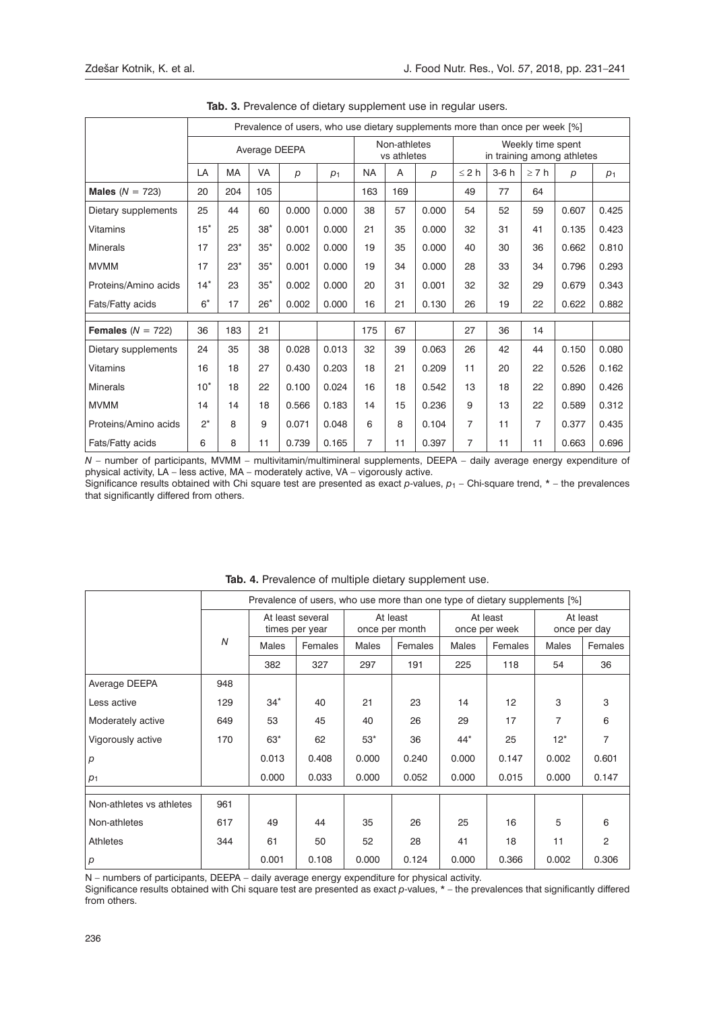|                      |        |       |               |       | Prevalence of users, who use dietary supplements more than once per week [%] |                |                             |                  |                |        |                   |                            |                |
|----------------------|--------|-------|---------------|-------|------------------------------------------------------------------------------|----------------|-----------------------------|------------------|----------------|--------|-------------------|----------------------------|----------------|
|                      |        |       | Average DEEPA |       |                                                                              |                | Non-athletes<br>vs athletes |                  |                |        | Weekly time spent | in training among athletes |                |
|                      | LA     | MA    | VA            | p     | p <sub>1</sub>                                                               | <b>NA</b>      | A                           | $\boldsymbol{p}$ | $\leq 2 h$     | $3-6h$ | $\geq 7 h$        | p                          | p <sub>1</sub> |
| Males $(N = 723)$    | 20     | 204   | 105           |       |                                                                              | 163            | 169                         |                  | 49             | 77     | 64                |                            |                |
| Dietary supplements  | 25     | 44    | 60            | 0.000 | 0.000                                                                        | 38             | 57                          | 0.000            | 54             | 52     | 59                | 0.607                      | 0.425          |
| <b>Vitamins</b>      | $15^*$ | 25    | $38*$         | 0.001 | 0.000                                                                        | 21             | 35                          | 0.000            | 32             | 31     | 41                | 0.135                      | 0.423          |
| <b>Minerals</b>      | 17     | $23*$ | $35*$         | 0.002 | 0.000                                                                        | 19             | 35                          | 0.000            | 40             | 30     | 36                | 0.662                      | 0.810          |
| <b>MVMM</b>          | 17     | $23*$ | $35*$         | 0.001 | 0.000                                                                        | 19             | 34                          | 0.000            | 28             | 33     | 34                | 0.796                      | 0.293          |
| Proteins/Amino acids | $14*$  | 23    | $35^*$        | 0.002 | 0.000                                                                        | 20             | 31                          | 0.001            | 32             | 32     | 29                | 0.679                      | 0.343          |
| Fats/Fatty acids     | $6*$   | 17    | $26*$         | 0.002 | 0.000                                                                        | 16             | 21                          | 0.130            | 26             | 19     | 22                | 0.622                      | 0.882          |
| Females $(N = 722)$  | 36     | 183   | 21            |       |                                                                              | 175            | 67                          |                  | 27             | 36     | 14                |                            |                |
| Dietary supplements  | 24     | 35    | 38            | 0.028 | 0.013                                                                        | 32             | 39                          | 0.063            | 26             | 42     | 44                | 0.150                      | 0.080          |
| <b>Vitamins</b>      | 16     | 18    | 27            | 0.430 | 0.203                                                                        | 18             | 21                          | 0.209            | 11             | 20     | 22                | 0.526                      | 0.162          |
| <b>Minerals</b>      | $10*$  | 18    | 22            | 0.100 | 0.024                                                                        | 16             | 18                          | 0.542            | 13             | 18     | 22                | 0.890                      | 0.426          |
|                      |        |       |               |       |                                                                              |                |                             |                  |                |        |                   |                            |                |
| <b>MVMM</b>          | 14     | 14    | 18            | 0.566 | 0.183                                                                        | 14             | 15                          | 0.236            | 9              | 13     | 22                | 0.589                      | 0.312          |
| Proteins/Amino acids | $2^*$  | 8     | 9             | 0.071 | 0.048                                                                        | 6              | 8                           | 0.104            | $\overline{7}$ | 11     | 7                 | 0.377                      | 0.435          |
| Fats/Fatty acids     | 6      | 8     | 11            | 0.739 | 0.165                                                                        | $\overline{7}$ | 11                          | 0.397            | $\overline{7}$ | 11     | 11                | 0.663                      | 0.696          |

**Tab. 3.** Prevalence of dietary supplement use in regular users.

*N* – number of participants, MVMM – multivitamin/multimineral supplements, DEEPA – daily average energy expenditure of physical activity, LA – less active, MA – moderately active, VA – vigorously active.

Significance results obtained with Chi square test are presented as exact *p*-values, *p*1 *–* Chi-square trend, \* – the prevalences that significantly differed from others.

|                          |     |       |                                    |       | Prevalence of users, who use more than one type of dietary supplements [%] |       |                           |                |                          |
|--------------------------|-----|-------|------------------------------------|-------|----------------------------------------------------------------------------|-------|---------------------------|----------------|--------------------------|
|                          |     |       | At least several<br>times per year |       | At least<br>once per month                                                 |       | At least<br>once per week |                | At least<br>once per day |
|                          | N   | Males | Females                            | Males | Females                                                                    | Males | Females                   | Males          | Females                  |
|                          |     | 382   | 327                                | 297   | 191                                                                        | 225   | 118                       | 54             | 36                       |
| Average DEEPA            | 948 |       |                                    |       |                                                                            |       |                           |                |                          |
| Less active              | 129 | $34*$ | 40                                 | 21    | 23                                                                         | 14    | 12                        | 3              | 3                        |
| Moderately active        | 649 | 53    | 45                                 | 40    | 26                                                                         | 29    | 17                        | $\overline{7}$ | 6                        |
| Vigorously active        | 170 | $63*$ | 62                                 | $53*$ | 36                                                                         | $44*$ | 25                        | $12^*$         | 7                        |
| $\boldsymbol{p}$         |     | 0.013 | 0.408                              | 0.000 | 0.240                                                                      | 0.000 | 0.147                     | 0.002          | 0.601                    |
| p <sub>1</sub>           |     | 0.000 | 0.033                              | 0.000 | 0.052                                                                      | 0.000 | 0.015                     | 0.000          | 0.147                    |
|                          |     |       |                                    |       |                                                                            |       |                           |                |                          |
| Non-athletes vs athletes | 961 |       |                                    |       |                                                                            |       |                           |                |                          |
| Non-athletes             | 617 | 49    | 44                                 | 35    | 26                                                                         | 25    | 16                        | 5              | 6                        |
| Athletes                 | 344 | 61    | 50                                 | 52    | 28                                                                         | 41    | 18                        | 11             | 2                        |
| p                        |     | 0.001 | 0.108                              | 0.000 | 0.124                                                                      | 0.000 | 0.366                     | 0.002          | 0.306                    |

**Tab. 4.** Prevalence of multiple dietary supplement use.

N – numbers of participants, DEEPA – daily average energy expenditure for physical activity.

Significance results obtained with Chi square test are presented as exact *p*-values, \* – the prevalences that significantly differed from others.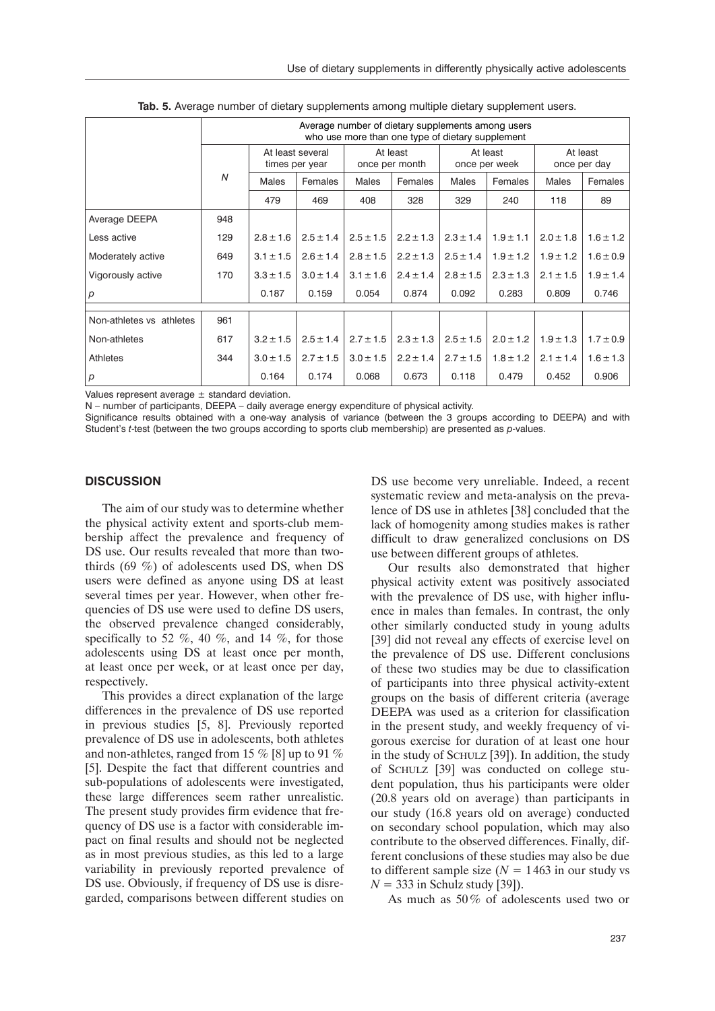|                          |     |               |                                    | Average number of dietary supplements among users<br>who use more than one type of dietary supplement |                            |               |                           |               |                          |
|--------------------------|-----|---------------|------------------------------------|-------------------------------------------------------------------------------------------------------|----------------------------|---------------|---------------------------|---------------|--------------------------|
|                          |     |               | At least several<br>times per year |                                                                                                       | At least<br>once per month |               | At least<br>once per week |               | At least<br>once per day |
|                          | N   | Males         | Females                            | <b>Males</b>                                                                                          | Females                    | Males         | Females                   | Males         | Females                  |
|                          |     | 479           | 469                                | 408                                                                                                   | 328                        | 329           | 240                       | 118           | 89                       |
| Average DEEPA            | 948 |               |                                    |                                                                                                       |                            |               |                           |               |                          |
| Less active              | 129 | $2.8 \pm 1.6$ | $2.5 \pm 1.4$                      | $2.5 \pm 1.5$                                                                                         | $2.2 \pm 1.3$              | $2.3 \pm 1.4$ | $1.9 \pm 1.1$             | $2.0 \pm 1.8$ | $1.6 \pm 1.2$            |
| Moderately active        | 649 | $3.1 \pm 1.5$ | $2.6 \pm 1.4$                      | $2.8 \pm 1.5$                                                                                         | $2.2 \pm 1.3$              | $2.5 \pm 1.4$ | $1.9 \pm 1.2$             | $1.9 \pm 1.2$ | $1.6 \pm 0.9$            |
| Vigorously active        | 170 | $3.3 \pm 1.5$ | $3.0 \pm 1.4$                      | $3.1 \pm 1.6$                                                                                         | $2.4 \pm 1.4$              | $2.8 \pm 1.5$ | $2.3 \pm 1.3$             | $2.1 \pm 1.5$ | $1.9 \pm 1.4$            |
| $\boldsymbol{p}$         |     | 0.187         | 0.159                              | 0.054                                                                                                 | 0.874                      | 0.092         | 0.283                     | 0.809         | 0.746                    |
| Non-athletes vs athletes | 961 |               |                                    |                                                                                                       |                            |               |                           |               |                          |
| Non-athletes             |     | $3.2 \pm 1.5$ | $2.5 \pm 1.4$                      | $2.7 \pm 1.5$                                                                                         | $2.3 \pm 1.3$              | $2.5 \pm 1.5$ | $2.0 \pm 1.2$             | $1.9 \pm 1.3$ |                          |
|                          | 617 |               |                                    |                                                                                                       |                            |               |                           |               | $1.7 \pm 0.9$            |
| Athletes                 | 344 | $3.0 \pm 1.5$ | $2.7 \pm 1.5$                      | $3.0 \pm 1.5$                                                                                         | $2.2 \pm 1.4$              | $2.7 \pm 1.5$ | $1.8 \pm 1.2$             | $2.1 \pm 1.4$ | $1.6 \pm 1.3$            |
| $\mathsf{p}$             |     | 0.164         | 0.174                              | 0.068                                                                                                 | 0.673                      | 0.118         | 0.479                     | 0.452         | 0.906                    |

**Tab. 5.** Average number of dietary supplements among multiple dietary supplement users.

Values represent average  $\pm$  standard deviation.

N – number of participants, DEEPA – daily average energy expenditure of physical activity.

Significance results obtained with a one-way analysis of variance (between the 3 groups according to DEEPA) and with Student's *t*-test (between the two groups according to sports club membership) are presented as *p*-values.

#### **Discussion**

The aim of our study was to determine whether the physical activity extent and sports-club membership affect the prevalence and frequency of DS use. Our results revealed that more than twothirds (69 %) of adolescents used DS, when DS users were defined as anyone using DS at least several times per year. However, when other frequencies of DS use were used to define DS users, the observed prevalence changed considerably, specifically to 52  $\%$ , 40  $\%$ , and 14  $\%$ , for those adolescents using DS at least once per month, at least once per week, or at least once per day, respectively.

This provides a direct explanation of the large differences in the prevalence of DS use reported in previous studies [5, 8]. Previously reported prevalence of DS use in adolescents, both athletes and non-athletes, ranged from 15 % [8] up to 91 % [5]. Despite the fact that different countries and sub-populations of adolescents were investigated, these large differences seem rather unrealistic. The present study provides firm evidence that frequency of DS use is a factor with considerable impact on final results and should not be neglected as in most previous studies, as this led to a large variability in previously reported prevalence of DS use. Obviously, if frequency of DS use is disregarded, comparisons between different studies on

DS use become very unreliable. Indeed, a recent systematic review and meta-analysis on the prevalence of DS use in athletes [38] concluded that the lack of homogenity among studies makes is rather difficult to draw generalized conclusions on DS use between different groups of athletes.

Our results also demonstrated that higher physical activity extent was positively associated with the prevalence of DS use, with higher influence in males than females. In contrast, the only other similarly conducted study in young adults [39] did not reveal any effects of exercise level on the prevalence of DS use. Different conclusions of these two studies may be due to classification of participants into three physical activity-extent groups on the basis of different criteria (average DEEPA was used as a criterion for classification in the present study, and weekly frequency of vigorous exercise for duration of at least one hour in the study of SCHULZ [39]). In addition, the study of Schulz [39] was conducted on college student population, thus his participants were older (20.8 years old on average) than participants in our study (16.8 years old on average) conducted on secondary school population, which may also contribute to the observed differences. Finally, different conclusions of these studies may also be due to different sample size  $(N = 1463$  in our study vs *N* = 333 in Schulz study [39]).

As much as 50% of adolescents used two or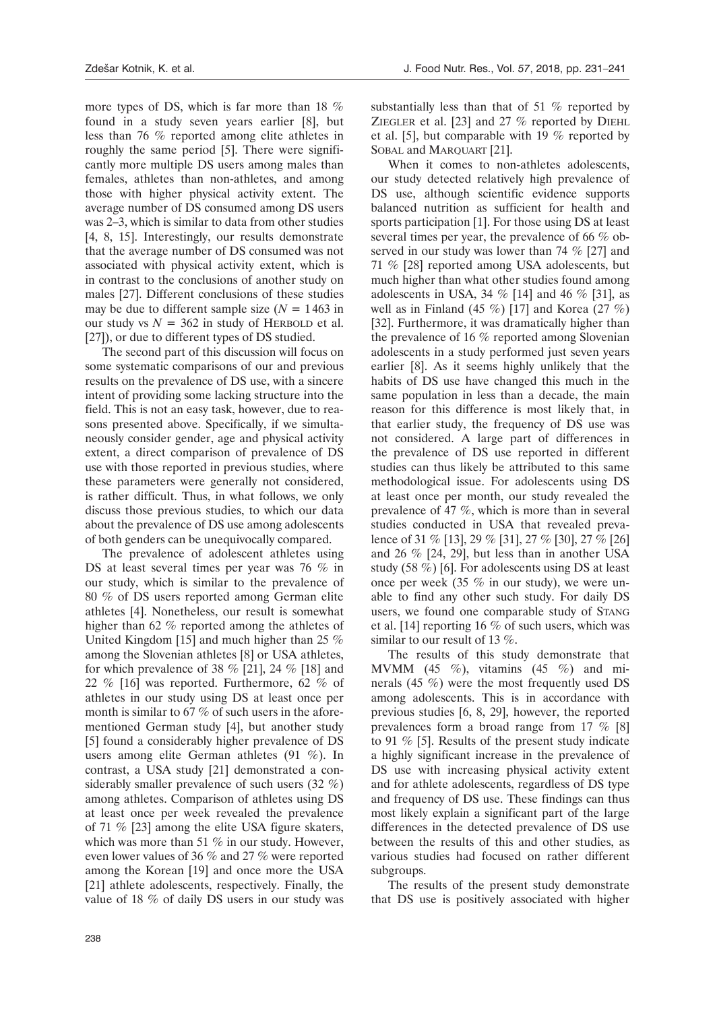more types of DS, which is far more than 18 % found in a study seven years earlier [8], but less than 76 % reported among elite athletes in roughly the same period [5]. There were significantly more multiple DS users among males than females, athletes than non-athletes, and among those with higher physical activity extent. The average number of DS consumed among DS users was 2–3, which is similar to data from other studies [4, 8, 15]. Interestingly, our results demonstrate that the average number of DS consumed was not associated with physical activity extent, which is in contrast to the conclusions of another study on males [27]. Different conclusions of these studies may be due to different sample size  $(N = 1463$  in our study vs  $N = 362$  in study of HERBOLD et al. [27]), or due to different types of DS studied.

The second part of this discussion will focus on some systematic comparisons of our and previous results on the prevalence of DS use, with a sincere intent of providing some lacking structure into the field. This is not an easy task, however, due to reasons presented above. Specifically, if we simultaneously consider gender, age and physical activity extent, a direct comparison of prevalence of DS use with those reported in previous studies, where these parameters were generally not considered, is rather difficult. Thus, in what follows, we only discuss those previous studies, to which our data about the prevalence of DS use among adolescents of both genders can be unequivocally compared.

The prevalence of adolescent athletes using DS at least several times per year was 76 % in our study, which is similar to the prevalence of 80 % of DS users reported among German elite athletes [4]. Nonetheless, our result is somewhat higher than 62 % reported among the athletes of United Kingdom [15] and much higher than 25 % among the Slovenian athletes [8] or USA athletes, for which prevalence of 38  $\%$  [21], 24  $\%$  [18] and 22 % [16] was reported. Furthermore, 62 % of athletes in our study using DS at least once per month is similar to 67 % of such users in the aforementioned German study [4], but another study [5] found a considerably higher prevalence of DS users among elite German athletes (91 %). In contrast, a USA study [21] demonstrated a considerably smaller prevalence of such users (32 %) among athletes. Comparison of athletes using DS at least once per week revealed the prevalence of 71 % [23] among the elite USA figure skaters, which was more than 51 % in our study. However, even lower values of 36 % and 27 % were reported among the Korean [19] and once more the USA [21] athlete adolescents, respectively. Finally, the value of 18 % of daily DS users in our study was substantially less than that of 51 % reported by ZIEGLER et al. [23] and 27  $%$  reported by DIEHL et al. [5], but comparable with 19 % reported by SOBAL and MARQUART [21].

When it comes to non-athletes adolescents, our study detected relatively high prevalence of DS use, although scientific evidence supports balanced nutrition as sufficient for health and sports participation [1]. For those using DS at least several times per year, the prevalence of 66 % observed in our study was lower than 74 % [27] and 71 % [28] reported among USA adolescents, but much higher than what other studies found among adolescents in USA, 34 % [14] and 46 % [31], as well as in Finland (45 %) [17] and Korea  $(27 \%)$ [32]. Furthermore, it was dramatically higher than the prevalence of 16 % reported among Slovenian adolescents in a study performed just seven years earlier [8]. As it seems highly unlikely that the habits of DS use have changed this much in the same population in less than a decade, the main reason for this difference is most likely that, in that earlier study, the frequency of DS use was not considered. A large part of differences in the prevalence of DS use reported in different studies can thus likely be attributed to this same methodological issue. For adolescents using DS at least once per month, our study revealed the prevalence of 47 %, which is more than in several studies conducted in USA that revealed prevalence of 31 % [13], 29 % [31], 27 % [30], 27 % [26] and 26 % [24, 29], but less than in another USA study (58 %) [6]. For adolescents using DS at least once per week (35 % in our study), we were unable to find any other such study. For daily DS users, we found one comparable study of Stang et al. [14] reporting 16 % of such users, which was similar to our result of 13 %.

The results of this study demonstrate that MVMM (45 %), vitamins (45 %) and minerals (45 %) were the most frequently used DS among adolescents. This is in accordance with previous studies [6, 8, 29], however, the reported prevalences form a broad range from 17 % [8] to 91 % [5]. Results of the present study indicate a highly significant increase in the prevalence of DS use with increasing physical activity extent and for athlete adolescents, regardless of DS type and frequency of DS use. These findings can thus most likely explain a significant part of the large differences in the detected prevalence of DS use between the results of this and other studies, as various studies had focused on rather different subgroups.

The results of the present study demonstrate that DS use is positively associated with higher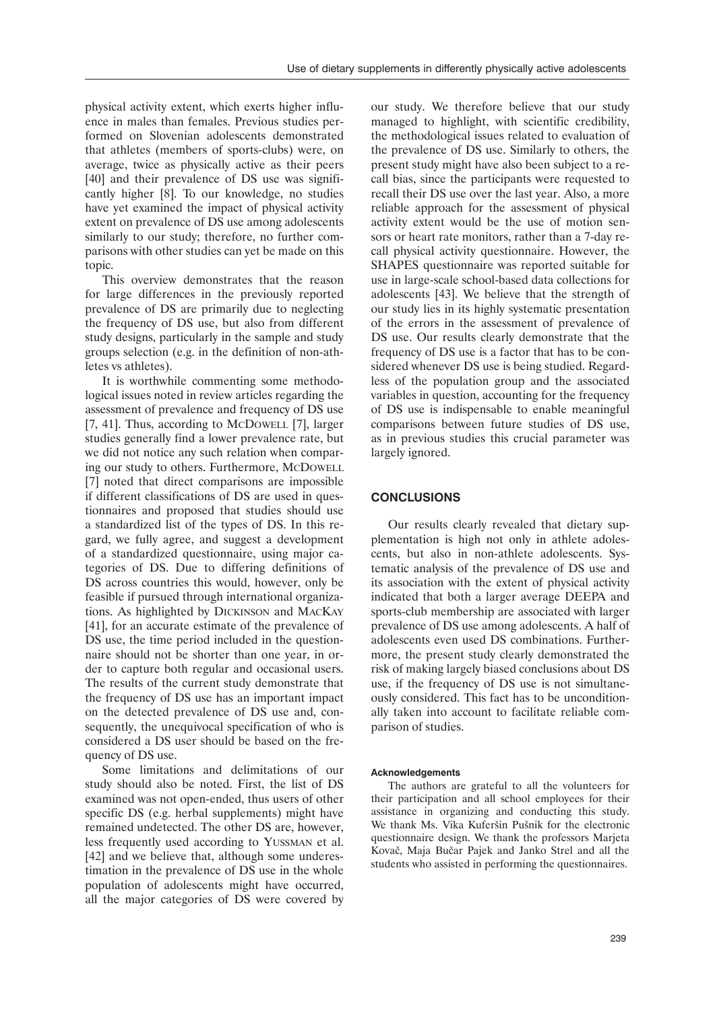physical activity extent, which exerts higher influence in males than females. Previous studies performed on Slovenian adolescents demonstrated that athletes (members of sports-clubs) were, on average, twice as physically active as their peers [40] and their prevalence of DS use was significantly higher [8]. To our knowledge, no studies have yet examined the impact of physical activity extent on prevalence of DS use among adolescents similarly to our study; therefore, no further comparisons with other studies can yet be made on this topic.

This overview demonstrates that the reason for large differences in the previously reported prevalence of DS are primarily due to neglecting the frequency of DS use, but also from different study designs, particularly in the sample and study groups selection (e.g. in the definition of non-athletes vs athletes).

It is worthwhile commenting some methodological issues noted in review articles regarding the assessment of prevalence and frequency of DS use [7, 41]. Thus, according to McDowell [7], larger studies generally find a lower prevalence rate, but we did not notice any such relation when comparing our study to others. Furthermore, McDowell [7] noted that direct comparisons are impossible if different classifications of DS are used in questionnaires and proposed that studies should use a standardized list of the types of DS. In this regard, we fully agree, and suggest a development of a standardized questionnaire, using major categories of DS. Due to differing definitions of DS across countries this would, however, only be feasible if pursued through international organizations. As highlighted by Dickinson and MacKay [41], for an accurate estimate of the prevalence of DS use, the time period included in the questionnaire should not be shorter than one year, in order to capture both regular and occasional users. The results of the current study demonstrate that the frequency of DS use has an important impact on the detected prevalence of DS use and, consequently, the unequivocal specification of who is considered a DS user should be based on the frequency of DS use.

Some limitations and delimitations of our study should also be noted. First, the list of DS examined was not open-ended, thus users of other specific DS (e.g. herbal supplements) might have remained undetected. The other DS are, however, less frequently used according to Yussman et al. [42] and we believe that, although some underestimation in the prevalence of DS use in the whole population of adolescents might have occurred, all the major categories of DS were covered by

our study. We therefore believe that our study managed to highlight, with scientific credibility, the methodological issues related to evaluation of the prevalence of DS use. Similarly to others, the present study might have also been subject to a recall bias, since the participants were requested to recall their DS use over the last year. Also, a more reliable approach for the assessment of physical activity extent would be the use of motion sensors or heart rate monitors, rather than a 7-day recall physical activity questionnaire. However, the SHAPES questionnaire was reported suitable for use in large-scale school-based data collections for adolescents [43]. We believe that the strength of our study lies in its highly systematic presentation of the errors in the assessment of prevalence of DS use. Our results clearly demonstrate that the frequency of DS use is a factor that has to be considered whenever DS use is being studied. Regardless of the population group and the associated variables in question, accounting for the frequency of DS use is indispensable to enable meaningful comparisons between future studies of DS use, as in previous studies this crucial parameter was largely ignored.

## **Conclusions**

Our results clearly revealed that dietary supplementation is high not only in athlete adolescents, but also in non-athlete adolescents. Systematic analysis of the prevalence of DS use and its association with the extent of physical activity indicated that both a larger average DEEPA and sports-club membership are associated with larger prevalence of DS use among adolescents. A half of adolescents even used DS combinations. Furthermore, the present study clearly demonstrated the risk of making largely biased conclusions about DS use, if the frequency of DS use is not simultaneously considered. This fact has to be unconditionally taken into account to facilitate reliable comparison of studies.

#### **Acknowledgements**

The authors are grateful to all the volunteers for their participation and all school employees for their assistance in organizing and conducting this study. We thank Ms. Vika Kuferšin Pušnik for the electronic questionnaire design. We thank the professors Marjeta Kovač, Maja Bučar Pajek and Janko Strel and all the students who assisted in performing the questionnaires.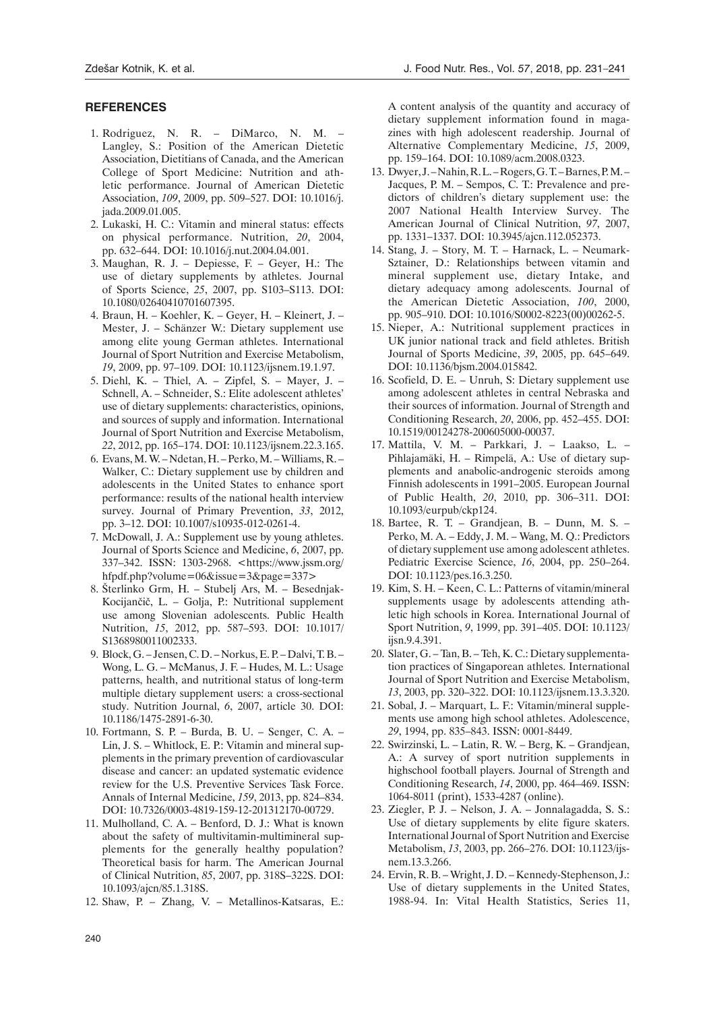#### **References**

- 1. Rodriguez, N. R. DiMarco, N. M. Langley, S.: Position of the American Dietetic Association, Dietitians of Canada, and the American College of Sport Medicine: Nutrition and athletic performance. Journal of American Dietetic Association, *109*, 2009, pp. 509–527. DOI: [10.1016/j.](https://doi.org/10.1016/j.jada.2009.01.005) [jada.2009.01.005](https://doi.org/10.1016/j.jada.2009.01.005).
- 2. Lukaski, H. C.: Vitamin and mineral status: effects on physical performance. Nutrition, *20*, 2004, pp. 632–644. DOI: [10.1016/j.nut.2004.04.001](https://doi.org/10.1016/j.nut.2004.04.001).
- 3. Maughan, R. J. Depiesse, F. Geyer, H.: The use of dietary supplements by athletes. Journal of Sports Science, *25*, 2007, pp. S103–S113. DOI: [10.1080/02640410701607395](https://doi.org/10.1080/02640410701607395).
- 4. Braun, H. Koehler, K. Geyer, H. Kleinert, J. Mester, J. – Schänzer W.: Dietary supplement use among elite young German athletes. International Journal of Sport Nutrition and Exercise Metabolism, *19*, 2009, pp. 97–109. DOI: [10.1123/ijsnem.19.1.97.](https://doi.org/10.1123/ijsnem.19.1.97)
- 5. Diehl, K. Thiel, A. Zipfel, S. Mayer, J. Schnell, A. – Schneider, S.: Elite adolescent athletes' use of dietary supplements: characteristics, opinions, and sources of supply and information. International Journal of Sport Nutrition and Exercise Metabolism, *22*, 2012, pp. 165–174. DOI: [10.1123/ijsnem.22.3.165](https://doi.org/10.1123/ijsnem.22.3.165).
- 6. Evans, M. W. Ndetan, H. Perko, M. Williams, R. Walker, C.: Dietary supplement use by children and adolescents in the United States to enhance sport performance: results of the national health interview survey. Journal of Primary Prevention, *33*, 2012, pp. 3–12. DOI: [10.1007/s10935-012-0261-4.](https://doi.org/10.1007/s10935-012-0261-4)
- 7. McDowall, J. A.: Supplement use by young athletes. Journal of Sports Science and Medicine, *6*, 2007, pp. 337–342. ISSN: 1303-2968. [<https://www.jssm.org/](https://www.jssm.org/hfpdf.php?volume=06&issue=3&page=337) [hfpdf.php?volume=06&issue=3&page=337>](https://www.jssm.org/hfpdf.php?volume=06&issue=3&page=337)
- 8. Šterlinko Grm, H. Stubelj Ars, M. Besednjak-Kocijančič, L. – Golja, P.: Nutritional supplement use among Slovenian adolescents. Public Health Nutrition, *15*, 2012, pp. 587–593. DOI: [10.1017/](https://doi.org/10.1017/S1368980011002333) [S1368980011002333.](https://doi.org/10.1017/S1368980011002333)
- 9. Block, G. Jensen, C. D. Norkus, E. P. Dalvi, T. B. Wong, L. G. – McManus, J. F. – Hudes, M. L.: Usage patterns, health, and nutritional status of long-term multiple dietary supplement users: a cross-sectional study. Nutrition Journal, *6*, 2007, article 30. DOI: [10.1186/1475-2891-6-30](https://doi.org/10.1186/1475-2891-6-30).
- 10. Fortmann, S. P. Burda, B. U. Senger, C. A. Lin, J. S. – Whitlock, E. P.: Vitamin and mineral supplements in the primary prevention of cardiovascular disease and cancer: an updated systematic evidence review for the U.S. Preventive Services Task Force. Annals of Internal Medicine, *159*, 2013, pp. 824–834. DOI: [10.7326/0003-4819-159-12-201312170-00729](https://doi.org/10.7326/0003-4819-159-12-201312170-00729).
- 11. Mulholland, C. A. Benford, D. J.: What is known about the safety of multivitamin-multimineral supplements for the generally healthy population? Theoretical basis for harm. The American Journal of Clinical Nutrition, *85*, 2007, pp. 318S–322S. DOI: [10.1093/ajcn/85.1.318S](https://doi.org/10.1093/ajcn/85.1.318S).
- 12. Shaw, P. Zhang, V. Metallinos-Katsaras, E.:

A content analysis of the quantity and accuracy of dietary supplement information found in magazines with high adolescent readership. Journal of Alternative Complementary Medicine, *15*, 2009, pp. 159–164. DOI: [10.1089/acm.2008.0323.](https://doi.org/10.1089/acm.2008.0323)

- 13. Dwyer, J. Nahin, R. L. Rogers, G. T. Barnes, P. M. Jacques, P. M. – Sempos, C. T.: Prevalence and predictors of children's dietary supplement use: the 2007 National Health Interview Survey. The American Journal of Clinical Nutrition, *97*, 2007, pp. 1331–1337. DOI: [10.3945/ajcn.112.052373](https://doi.org/10.3945/ajcn.112.052373).
- 14. Stang, J. Story, M. T. Harnack, L. Neumark-Sztainer, D.: Relationships between vitamin and mineral supplement use, dietary Intake, and dietary adequacy among adolescents. Journal of the American Dietetic Association, *100*, 2000, pp. 905–910. DOI: [10.1016/S0002-8223\(00\)00262-5](https://doi.org/10.1016/S0002-8223(00)00262-5).
- 15. Nieper, A.: Nutritional supplement practices in UK junior national track and field athletes. British Journal of Sports Medicine, *39*, 2005, pp. 645–649. DOI: [10.1136/bjsm.2004.015842](https://doi.org/10.1136/bjsm.2004.015842).
- 16. Scofield, D. E. Unruh, S: Dietary supplement use among adolescent athletes in central Nebraska and their sources of information. Journal of Strength and Conditioning Research, *20*, 2006, pp. 452–455. DOI: [10.1519/00124278-200605000-00037.](http://dx.doi.org/10.1519/00124278-200605000-00037)
- 17. Mattila, V. M. Parkkari, J. Laakso, L. Pihlajamäki, H. – Rimpelä, A.: Use of dietary supplements and anabolic-androgenic steroids among Finnish adolescents in 1991–2005. European Journal of Public Health, *20*, 2010, pp. 306–311. DOI: [10.1093/eurpub/ckp124.](https://doi.org/10.1093/eurpub/ckp124)
- 18. Bartee, R. T. Grandjean, B. Dunn, M. S. Perko, M. A. – Eddy, J. M. – Wang, M. Q.: Predictors of dietary supplement use among adolescent athletes. Pediatric Exercise Science, *16*, 2004, pp. 250–264. DOI: [10.1123/pes.16.3.250](https://doi.org/10.1123/pes.16.3.250).
- 19. Kim, S. H. Keen, C. L.: Patterns of vitamin/mineral supplements usage by adolescents attending athletic high schools in Korea. International Journal of Sport Nutrition, *9*, 1999, pp. 391–405. DOI: [10.1123/](https://doi.org/10.1123/ijsn.9.4.391) iisn.9.4.391.
- 20. Slater, G. Tan, B. Teh, K. C.: Dietary supplementation practices of Singaporean athletes. International Journal of Sport Nutrition and Exercise Metabolism, *13*, 2003, pp. 320–322. DOI: [10.1123/ijsnem.13.3.320](https://doi.org/10.1123/ijsnem.13.3.320).
- 21. Sobal, J. Marquart, L. F.: Vitamin/mineral supplements use among high school athletes. Adolescence, *29*, 1994, pp. 835–843. ISSN: 0001-8449.
- 22. Swirzinski, L. Latin, R. W. Berg, K. Grandjean, A.: A survey of sport nutrition supplements in highschool football players. Journal of Strength and Conditioning Research, *14*, 2000, pp. 464–469. ISSN: 1064-8011 (print), 1533-4287 (online).
- 23. Ziegler, P. J. Nelson, J. A. Jonnalagadda, S. S.: Use of dietary supplements by elite figure skaters. International Journal of Sport Nutrition and Exercise Metabolism, *13*, 2003, pp. 266–276. DOI: [10.1123/ijs](https://doi.org/10.1123/ijsnem.13.3.266)[nem.13.3.266.](https://doi.org/10.1123/ijsnem.13.3.266)
- 24. Ervin, R. B. Wright, J. D. Kennedy-Stephenson, J.: Use of dietary supplements in the United States, 1988-94. In: Vital Health Statistics, Series 11,